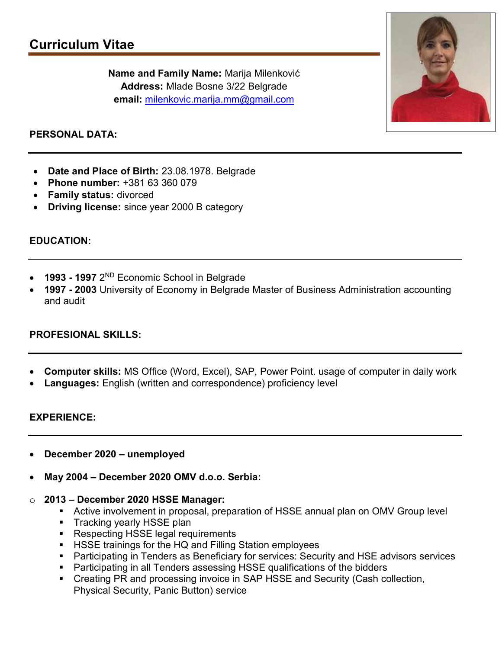Name and Family Name: Marija Milenković Address: Mlade Bosne 3/22 Belgrade email: milenkovic.marija.mm@gmail.com



### PERSONAL DATA:

- Date and Place of Birth: 23.08.1978. Belgrade
- Phone number: +381 63 360 079
- Family status: divorced
- Driving license: since year 2000 B category

### EDUCATION:

- 1993 1997 2ND Economic School in Belgrade
- 1997 2003 University of Economy in Belgrade Master of Business Administration accounting and audit

### PROFESIONAL SKILLS:

- Computer skills: MS Office (Word, Excel), SAP, Power Point. usage of computer in daily work
- Languages: English (written and correspondence) proficiency level

### EXPERIENCE:

- December 2020 unemployed
- May 2004 December 2020 OMV d.o.o. Serbia:
- o 2013 December 2020 HSSE Manager:
	- Active involvement in proposal, preparation of HSSE annual plan on OMV Group level
	- **Tracking yearly HSSE plan**
	- Respecting HSSE legal requirements
	- **HISSE trainings for the HQ and Filling Station employees**
	- **Participating in Tenders as Beneficiary for services: Security and HSE advisors services**
	- **Participating in all Tenders assessing HSSE qualifications of the bidders**
	- Creating PR and processing invoice in SAP HSSE and Security (Cash collection, Physical Security, Panic Button) service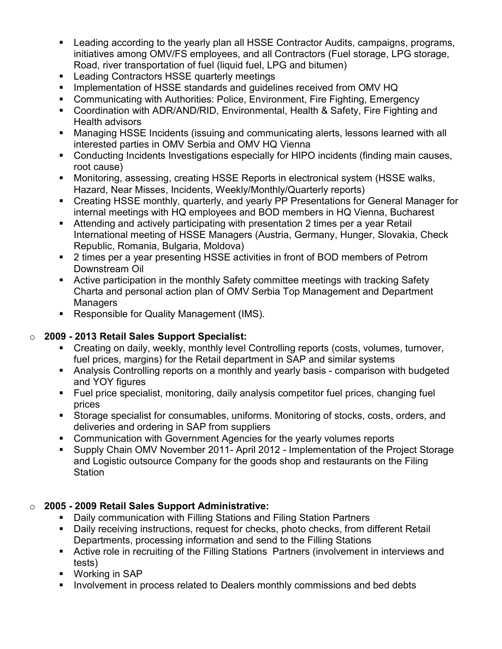- Leading according to the yearly plan all HSSE Contractor Audits, campaigns, programs, initiatives among OMV/FS employees, and all Contractors (Fuel storage, LPG storage, Road, river transportation of fuel (liquid fuel, LPG and bitumen)
- **EXECTE CONTENDER IN LETT** Leading Contractors HSSE quarterly meetings
- **IMPLEMENT IMPLEMENT ISS IN A THE STANDER IN A THE STANDER IMAGE IN A THE IMAGE IN A THE STANDER IMAGE ISSUES** Implementation of HSSE standards and quidelines received from OMV HQ
- Communicating with Authorities: Police, Environment, Fire Fighting, Emergency
- Coordination with ADR/AND/RID, Environmental, Health & Safety, Fire Fighting and Health advisors
- Managing HSSE Incidents (issuing and communicating alerts, lessons learned with all interested parties in OMV Serbia and OMV HQ Vienna
- Conducting Incidents Investigations especially for HIPO incidents (finding main causes, root cause)
- Monitoring, assessing, creating HSSE Reports in electronical system (HSSE walks, Hazard, Near Misses, Incidents, Weekly/Monthly/Quarterly reports)
- **Creating HSSE monthly, quarterly, and yearly PP Presentations for General Manager for** internal meetings with HQ employees and BOD members in HQ Vienna, Bucharest
- Attending and actively participating with presentation 2 times per a year Retail International meeting of HSSE Managers (Austria, Germany, Hunger, Slovakia, Check Republic, Romania, Bulgaria, Moldova)
- 2 times per a year presenting HSSE activities in front of BOD members of Petrom Downstream Oil
- Active participation in the monthly Safety committee meetings with tracking Safety Charta and personal action plan of OMV Serbia Top Management and Department **Managers**
- Responsible for Quality Management (IMS).

# o 2009 - 2013 Retail Sales Support Specialist:

- Creating on daily, weekly, monthly level Controlling reports (costs, volumes, turnover, fuel prices, margins) for the Retail department in SAP and similar systems
- Analysis Controlling reports on a monthly and yearly basis comparison with budgeted and YOY figures
- Fuel price specialist, monitoring, daily analysis competitor fuel prices, changing fuel prices
- Storage specialist for consumables, uniforms. Monitoring of stocks, costs, orders, and deliveries and ordering in SAP from suppliers
- Communication with Government Agencies for the yearly volumes reports
- Supply Chain OMV November 2011- April 2012 Implementation of the Project Storage and Logistic outsource Company for the goods shop and restaurants on the Filing Station

# o 2005 - 2009 Retail Sales Support Administrative:

- Daily communication with Filling Stations and Filing Station Partners
- Daily receiving instructions, request for checks, photo checks, from different Retail Departments, processing information and send to the Filling Stations
- Active role in recruiting of the Filling Stations Partners (involvement in interviews and tests)
- Working in SAP
- **IDED 10.5 Involvement in process related to Dealers monthly commissions and bed debts 4.5 Inc.**